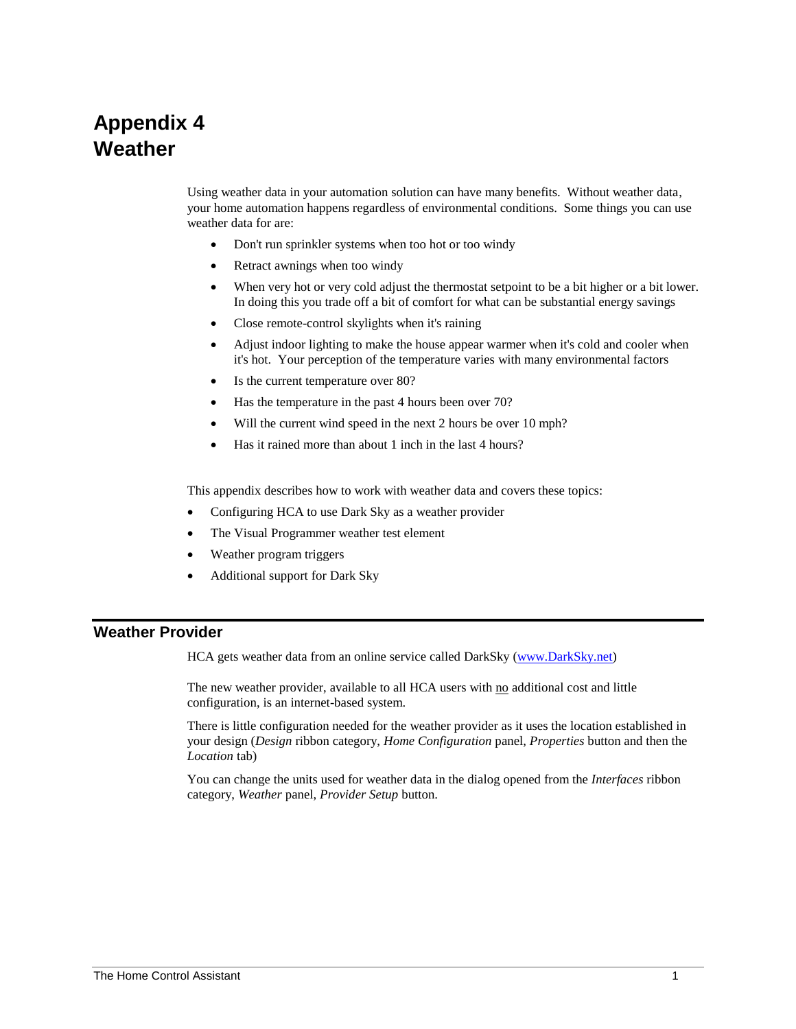# **Appendix 4 Weather**

Using weather data in your automation solution can have many benefits. Without weather data, your home automation happens regardless of environmental conditions. Some things you can use weather data for are:

- Don't run sprinkler systems when too hot or too windy
- Retract awnings when too windy
- When very hot or very cold adjust the thermostat setpoint to be a bit higher or a bit lower. In doing this you trade off a bit of comfort for what can be substantial energy savings
- Close remote-control skylights when it's raining
- Adjust indoor lighting to make the house appear warmer when it's cold and cooler when it's hot. Your perception of the temperature varies with many environmental factors
- Is the current temperature over 80?
- Has the temperature in the past 4 hours been over 70?
- Will the current wind speed in the next 2 hours be over 10 mph?
- Has it rained more than about 1 inch in the last 4 hours?

This appendix describes how to work with weather data and covers these topics:

- Configuring HCA to use Dark Sky as a weather provider
- The Visual Programmer weather test element
- Weather program triggers
- Additional support for Dark Sky

#### **Weather Provider**

HCA gets weather data from an online service called DarkSky [\(www.DarkSky.net\)](http://www.darksky.net/)

The new weather provider, available to all HCA users with no additional cost and little configuration, is an internet-based system.

There is little configuration needed for the weather provider as it uses the location established in your design (*Design* ribbon category, *Home Configuration* panel, *Properties* button and then the *Location* tab)

You can change the units used for weather data in the dialog opened from the *Interfaces* ribbon category, *Weather* panel, *Provider Setup* button.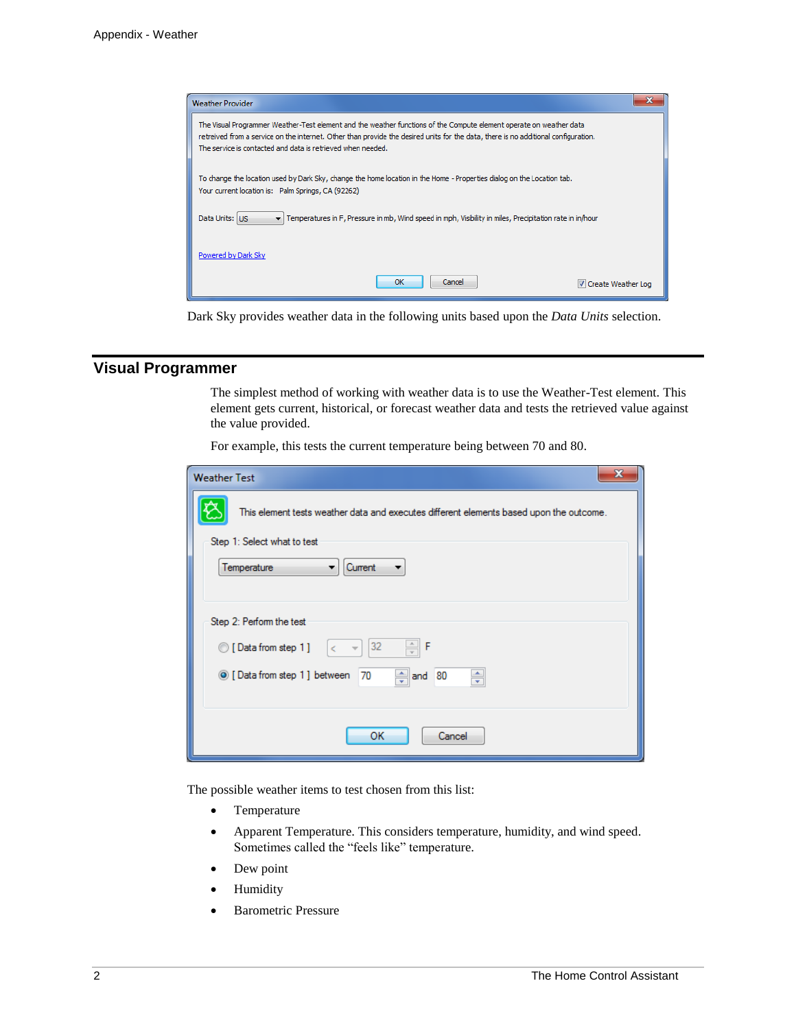

Dark Sky provides weather data in the following units based upon the *Data Units* selection.

## **Visual Programmer**

The simplest method of working with weather data is to use the Weather-Test element. This element gets current, historical, or forecast weather data and tests the retrieved value against the value provided.

For example, this tests the current temperature being between 70 and 80.

| x<br><b>Weather Test</b>                                                                |
|-----------------------------------------------------------------------------------------|
| This element tests weather data and executes different elements based upon the outcome. |
| Step 1: Select what to test                                                             |
| Temperature<br>Current<br>▼<br>▼                                                        |
| Step 2: Perform the test                                                                |
| 32<br>F<br>C [Data from step 1]<br>$\overline{\nabla}$<br>⋖                             |
| $\div$<br>◎ [Data from step 1] between<br>and 80<br>$\frac{1}{x}$<br>70                 |
| ок<br>Cancel                                                                            |

The possible weather items to test chosen from this list:

- Temperature
- Apparent Temperature. This considers temperature, humidity, and wind speed. Sometimes called the "feels like" temperature.
- Dew point
- **Humidity**
- **Barometric Pressure**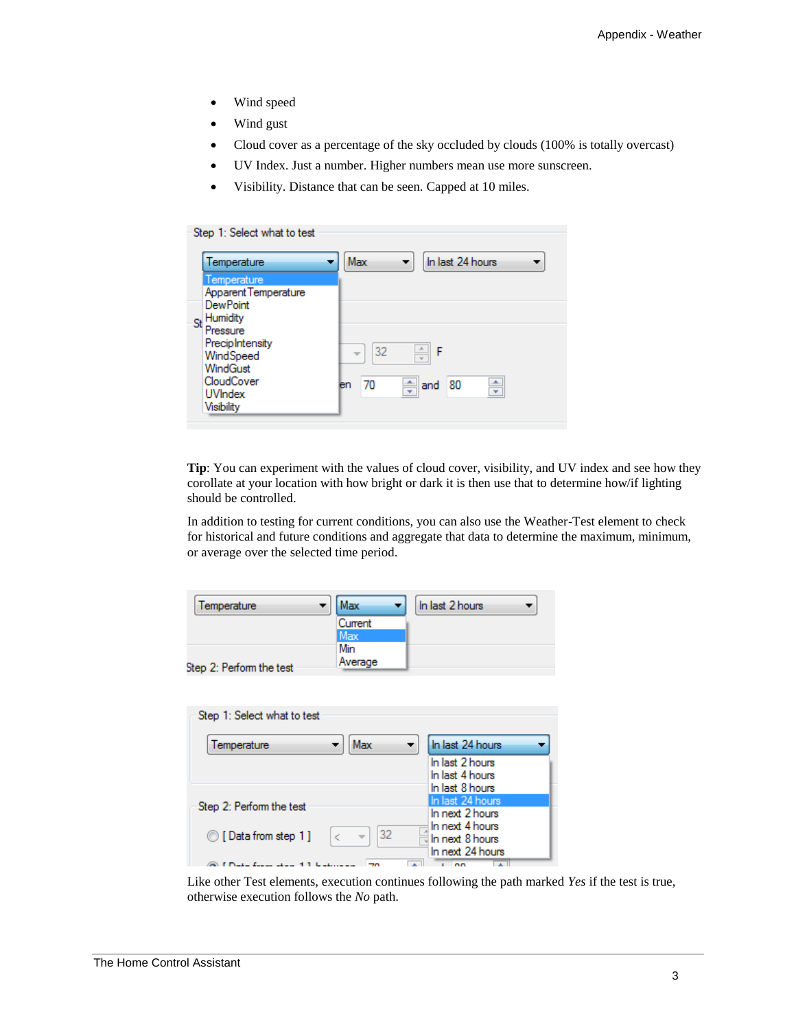- Wind speed
- Wind gust
- Cloud cover as a percentage of the sky occluded by clouds (100% is totally overcast)
- UV Index. Just a number. Higher numbers mean use more sunscreen.
- Visibility. Distance that can be seen. Capped at 10 miles.

#### Step 1: Select what to test

|    | Temperature                                | Max<br>In last 24 hours               |
|----|--------------------------------------------|---------------------------------------|
|    | Temperature<br><b>Apparent Temperature</b> |                                       |
|    | <b>DewPoint</b>                            |                                       |
| St | <b>Humidity</b>                            |                                       |
|    | Pressure                                   |                                       |
|    | PrecipIntensity                            | 32<br>$\overline{\phantom{a}}$<br>l F |
|    | WindSpeed                                  | $\overline{\mathbf{v}}$               |
|    | WindGust                                   |                                       |
|    | CloudCover                                 | $\frac{4}{x}$ and 80<br>۸<br>70<br>en |
|    | <b>UVIndex</b>                             | ٠                                     |
|    | Visibility                                 |                                       |

**Tip**: You can experiment with the values of cloud cover, visibility, and UV index and see how they corollate at your location with how bright or dark it is then use that to determine how/if lighting should be controlled.

In addition to testing for current conditions, you can also use the Weather-Test element to check for historical and future conditions and aggregate that data to determine the maximum, minimum, or average over the selected time period.

| Temperature                 | Max            | In last 2 hours       |
|-----------------------------|----------------|-----------------------|
|                             | <b>Current</b> |                       |
|                             | Max            |                       |
|                             | Min            |                       |
| Step 2: Perform the test    | Average        |                       |
|                             |                |                       |
| Step 1: Select what to test |                |                       |
| Temperature                 | Max            | In last 24 hours<br>▼ |
|                             |                | In last 2 hours       |

|                           | In last 2 hours<br>In last 4 hours |
|---------------------------|------------------------------------|
|                           | In last 8 hours                    |
| Step 2: Perform the test  | In last 24 hours                   |
|                           | In next 2 hours                    |
| 32<br>I Data from step 1] | In next 4 hours<br>In next 8 hours |
|                           | In next 24 hours                   |

Like other Test elements, execution continues following the path marked *Yes* if the test is true, otherwise execution follows the *No* path.